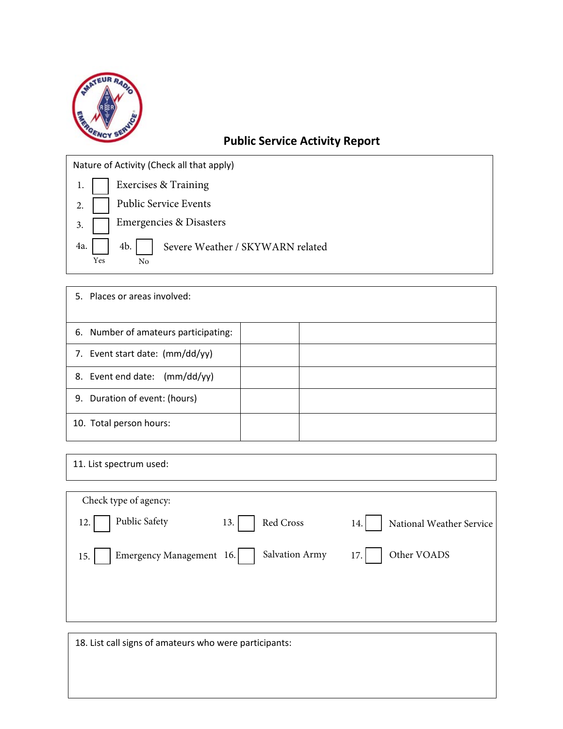

## **Public Service Activity Report**

Nature of Activity (Check all that apply)

| 1.   Exercises & Training                                  |  |
|------------------------------------------------------------|--|
| 2.   Public Service Events                                 |  |
| 3. Emergencies & Disasters                                 |  |
| 4a.<br>4b.   Severe Weather / SKYWARN related<br>Yes<br>No |  |

| 5. Places or areas involved:         |  |
|--------------------------------------|--|
| 6. Number of amateurs participating: |  |
| 7. Event start date: $(mm/dd/yy)$    |  |
| 8. Event end date: (mm/dd/yy)        |  |
| 9. Duration of event: (hours)        |  |
| 10. Total person hours:              |  |

11. List spectrum used:

| Check type of agency:           |                  |                                 |
|---------------------------------|------------------|---------------------------------|
| Public Safety<br>12.            | Red Cross<br>13. | National Weather Service<br>14. |
| Emergency Management 16.<br>15. | Salvation Army   | Other VOADS<br>17.              |
|                                 |                  |                                 |
|                                 |                  |                                 |

18. List call signs of amateurs who were participants: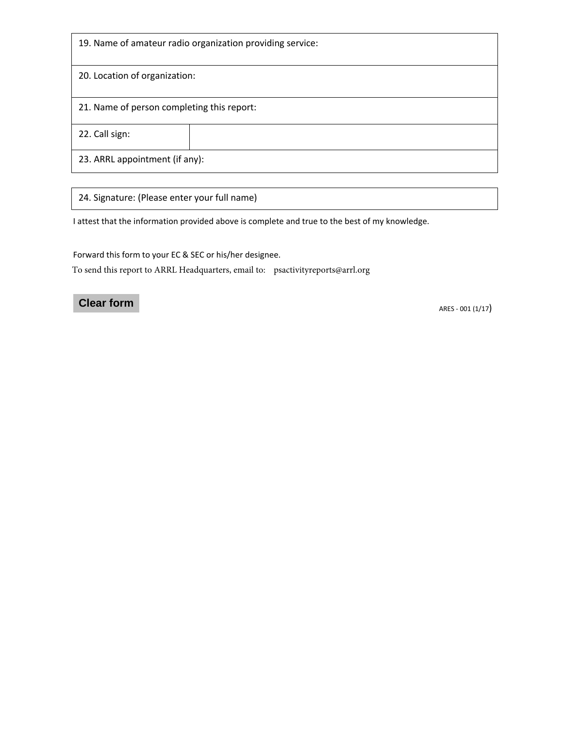| 19. Name of amateur radio organization providing service: |  |  |  |  |
|-----------------------------------------------------------|--|--|--|--|
| 20. Location of organization:                             |  |  |  |  |
| 21. Name of person completing this report:                |  |  |  |  |
| 22. Call sign:                                            |  |  |  |  |
| 23. ARRL appointment (if any):                            |  |  |  |  |

24. Signature: (Please enter your full name)

I attest that the information provided above is complete and true to the best of my knowledge.

Forward this form to your EC & SEC or his/her designee.

To send this report to ARRL Headquarters, email to: psactivityreports@arrl.org

## **Clear form**

ARES - 001 (1/17)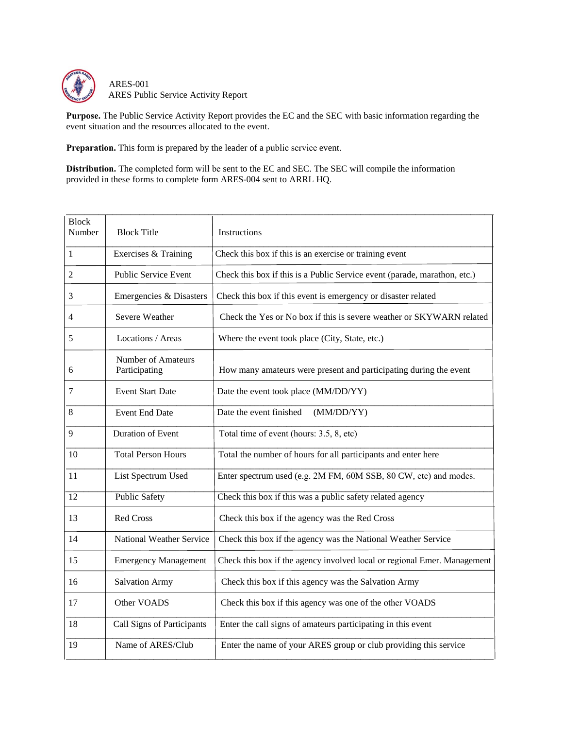

ARES-001 ARES Public Service Activity Report

**Purpose.** The Public Service Activity Report provides the EC and the SEC with basic information regarding the event situation and the resources allocated to the event.

**Preparation.** This form is prepared by the leader of a public service event.

**Distribution.** The completed form will be sent to the EC and SEC. The SEC will compile the information provided in these forms to complete form ARES-004 sent to ARRL HQ.

| <b>Block Title</b>                         | Instructions                                                              |
|--------------------------------------------|---------------------------------------------------------------------------|
| Exercises & Training                       | Check this box if this is an exercise or training event                   |
| <b>Public Service Event</b>                | Check this box if this is a Public Service event (parade, marathon, etc.) |
| Emergencies & Disasters                    | Check this box if this event is emergency or disaster related             |
| Severe Weather                             | Check the Yes or No box if this is severe weather or SKYWARN related      |
| Locations / Areas                          | Where the event took place (City, State, etc.)                            |
| <b>Number of Amateurs</b><br>Participating | How many amateurs were present and participating during the event         |
| <b>Event Start Date</b>                    | Date the event took place (MM/DD/YY)                                      |
| <b>Event End Date</b>                      | Date the event finished<br>(MM/DD/YY)                                     |
| <b>Duration of Event</b>                   | Total time of event (hours: 3.5, 8, etc)                                  |
| <b>Total Person Hours</b>                  | Total the number of hours for all participants and enter here             |
| List Spectrum Used                         | Enter spectrum used (e.g. 2M FM, 60M SSB, 80 CW, etc) and modes.          |
| <b>Public Safety</b>                       | Check this box if this was a public safety related agency                 |
| <b>Red Cross</b>                           | Check this box if the agency was the Red Cross                            |
| <b>National Weather Service</b>            | Check this box if the agency was the National Weather Service             |
| <b>Emergency Management</b>                | Check this box if the agency involved local or regional Emer. Management  |
| <b>Salvation Army</b>                      | Check this box if this agency was the Salvation Army                      |
| Other VOADS                                | Check this box if this agency was one of the other VOADS                  |
| Call Signs of Participants                 | Enter the call signs of amateurs participating in this event              |
| Name of ARES/Club                          | Enter the name of your ARES group or club providing this service          |
|                                            |                                                                           |